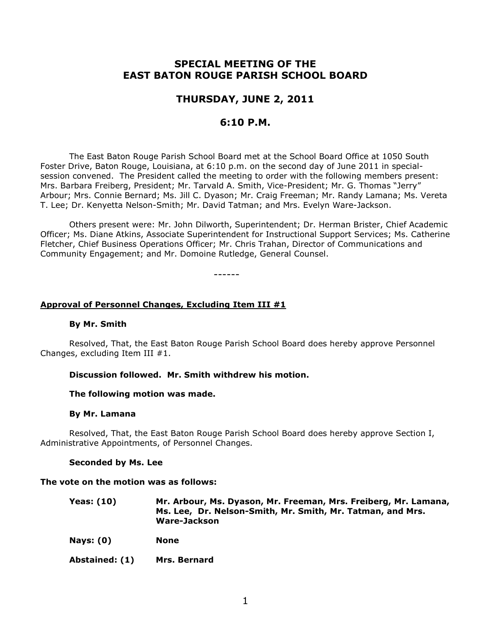# **SPECIAL MEETING OF THE EAST BATON ROUGE PARISH SCHOOL BOARD**

# **THURSDAY, JUNE 2, 2011**

# **6:10 P.M.**

The East Baton Rouge Parish School Board met at the School Board Office at 1050 South Foster Drive, Baton Rouge, Louisiana, at 6:10 p.m. on the second day of June 2011 in specialsession convened. The President called the meeting to order with the following members present: Mrs. Barbara Freiberg, President; Mr. Tarvald A. Smith, Vice-President; Mr. G. Thomas "Jerry" Arbour; Mrs. Connie Bernard; Ms. Jill C. Dyason; Mr. Craig Freeman; Mr. Randy Lamana; Ms. Vereta T. Lee; Dr. Kenyetta Nelson-Smith; Mr. David Tatman; and Mrs. Evelyn Ware-Jackson.

Others present were: Mr. John Dilworth, Superintendent; Dr. Herman Brister, Chief Academic Officer; Ms. Diane Atkins, Associate Superintendent for Instructional Support Services; Ms. Catherine Fletcher, Chief Business Operations Officer; Mr. Chris Trahan, Director of Communications and Community Engagement; and Mr. Domoine Rutledge, General Counsel.

------

### **Approval of Personnel Changes, Excluding Item III #1**

#### **By Mr. Smith**

Resolved, That, the East Baton Rouge Parish School Board does hereby approve Personnel Changes, excluding Item III #1.

#### **Discussion followed. Mr. Smith withdrew his motion.**

#### **The following motion was made.**

#### **By Mr. Lamana**

Resolved, That, the East Baton Rouge Parish School Board does hereby approve Section I, Administrative Appointments, of Personnel Changes.

#### **Seconded by Ms. Lee**

#### **The vote on the motion was as follows:**

| Yeas: (10) | Mr. Arbour, Ms. Dyason, Mr. Freeman, Mrs. Freiberg, Mr. Lamana, |
|------------|-----------------------------------------------------------------|
|            | Ms. Lee, Dr. Nelson-Smith, Mr. Smith, Mr. Tatman, and Mrs.      |
|            | Ware-Jackson                                                    |

**Nays: (0) None**

**Abstained: (1) Mrs. Bernard**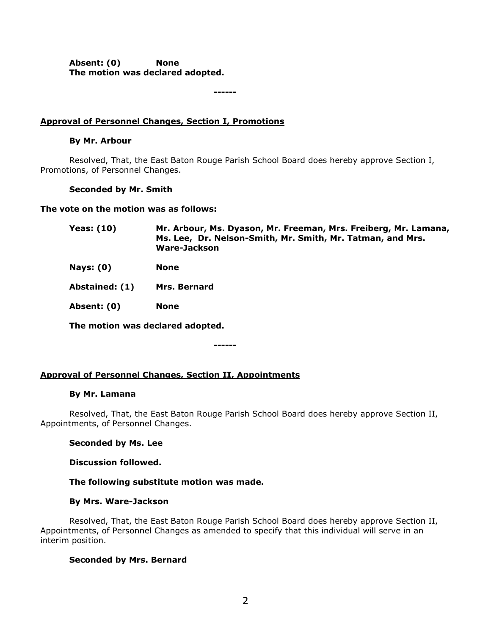**Absent: (0) None The motion was declared adopted.**

**------**

## **Approval of Personnel Changes, Section I, Promotions**

## **By Mr. Arbour**

Resolved, That, the East Baton Rouge Parish School Board does hereby approve Section I, Promotions, of Personnel Changes.

## **Seconded by Mr. Smith**

**The vote on the motion was as follows:**

| Mr. Arbour, Ms. Dyason, Mr. Freeman, Mrs. Freiberg, Mr. Lamana, |
|-----------------------------------------------------------------|
| Ms. Lee, Dr. Nelson-Smith, Mr. Smith, Mr. Tatman, and Mrs.      |
| Ware-Jackson                                                    |
|                                                                 |

- **Nays: (0) None**
- **Abstained: (1) Mrs. Bernard**

**Absent: (0) None**

**The motion was declared adopted.**

**------**

## **Approval of Personnel Changes, Section II, Appointments**

### **By Mr. Lamana**

Resolved, That, the East Baton Rouge Parish School Board does hereby approve Section II, Appointments, of Personnel Changes.

## **Seconded by Ms. Lee**

### **Discussion followed.**

### **The following substitute motion was made.**

### **By Mrs. Ware-Jackson**

Resolved, That, the East Baton Rouge Parish School Board does hereby approve Section II, Appointments, of Personnel Changes as amended to specify that this individual will serve in an interim position.

### **Seconded by Mrs. Bernard**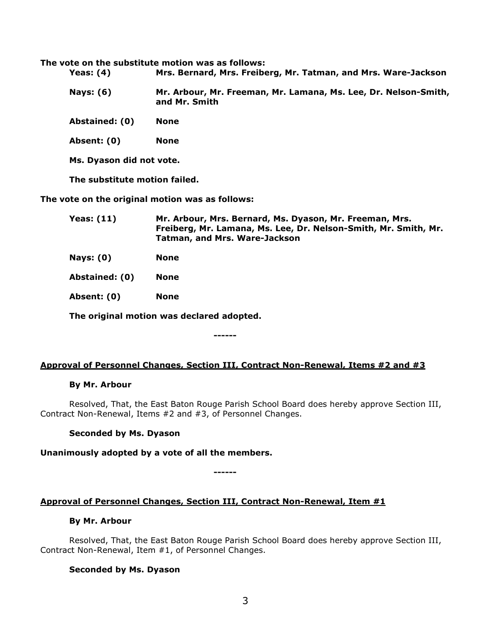**The vote on the substitute motion was as follows:**

- **Yeas: (4) Mrs. Bernard, Mrs. Freiberg, Mr. Tatman, and Mrs. Ware-Jackson**
- **Nays: (6) Mr. Arbour, Mr. Freeman, Mr. Lamana, Ms. Lee, Dr. Nelson-Smith, and Mr. Smith**
- **Abstained: (0) None**
- **Absent: (0) None**
- **Ms. Dyason did not vote.**

**The substitute motion failed.**

**The vote on the original motion was as follows:**

**Yeas: (11) Mr. Arbour, Mrs. Bernard, Ms. Dyason, Mr. Freeman, Mrs. Freiberg, Mr. Lamana, Ms. Lee, Dr. Nelson-Smith, Mr. Smith, Mr. Tatman, and Mrs. Ware-Jackson**

**Nays: (0) None**

**Abstained: (0) None**

**Absent: (0) None**

**The original motion was declared adopted.**

### **Approval of Personnel Changes, Section III, Contract Non-Renewal, Items #2 and #3**

**------**

#### **By Mr. Arbour**

Resolved, That, the East Baton Rouge Parish School Board does hereby approve Section III, Contract Non-Renewal, Items #2 and #3, of Personnel Changes.

### **Seconded by Ms. Dyason**

### **Unanimously adopted by a vote of all the members.**

**------**

### **Approval of Personnel Changes, Section III, Contract Non-Renewal, Item #1**

#### **By Mr. Arbour**

Resolved, That, the East Baton Rouge Parish School Board does hereby approve Section III, Contract Non-Renewal, Item #1, of Personnel Changes.

### **Seconded by Ms. Dyason**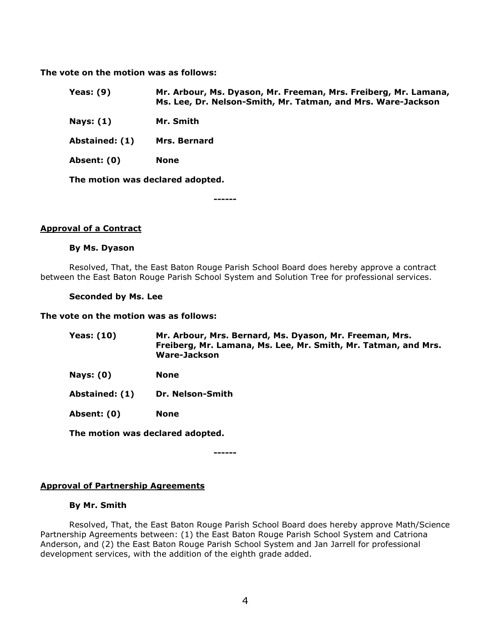**The vote on the motion was as follows:**

| Yeas: (9) | Mr. Arbour, Ms. Dyason, Mr. Freeman, Mrs. Freiberg, Mr. Lamana, |
|-----------|-----------------------------------------------------------------|
|           | Ms. Lee, Dr. Nelson-Smith, Mr. Tatman, and Mrs. Ware-Jackson    |

**Nays: (1) Mr. Smith**

**Abstained: (1) Mrs. Bernard**

**Absent: (0) None**

**The motion was declared adopted.**

**------**

### **Approval of a Contract**

#### **By Ms. Dyason**

Resolved, That, the East Baton Rouge Parish School Board does hereby approve a contract between the East Baton Rouge Parish School System and Solution Tree for professional services.

#### **Seconded by Ms. Lee**

#### **The vote on the motion was as follows:**

| Yeas: (10) | Mr. Arbour, Mrs. Bernard, Ms. Dyason, Mr. Freeman, Mrs.        |
|------------|----------------------------------------------------------------|
|            | Freiberg, Mr. Lamana, Ms. Lee, Mr. Smith, Mr. Tatman, and Mrs. |
|            | Ware-Jackson                                                   |

- **Nays: (0) None**
- **Abstained: (1) Dr. Nelson-Smith**

**Absent: (0) None**

**The motion was declared adopted.**

**------**

## **Approval of Partnership Agreements**

### **By Mr. Smith**

Resolved, That, the East Baton Rouge Parish School Board does hereby approve Math/Science Partnership Agreements between: (1) the East Baton Rouge Parish School System and Catriona Anderson, and (2) the East Baton Rouge Parish School System and Jan Jarrell for professional development services, with the addition of the eighth grade added.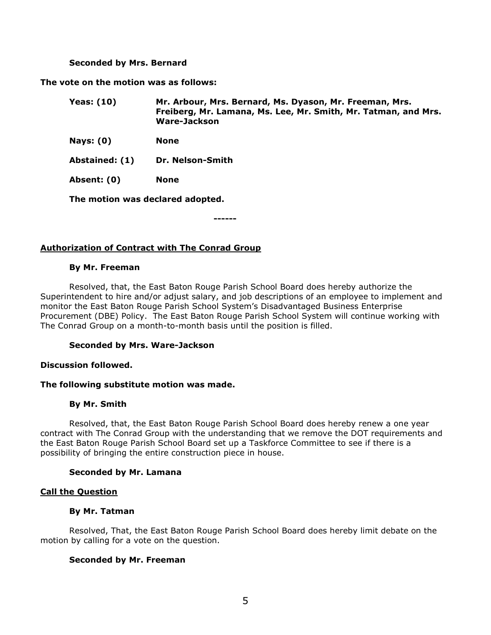#### **Seconded by Mrs. Bernard**

**The vote on the motion was as follows:**

| <b>Yeas: (10)</b> | Mr. Arbour, Mrs. Bernard, Ms. Dyason, Mr. Freeman, Mrs.<br>Freiberg, Mr. Lamana, Ms. Lee, Mr. Smith, Mr. Tatman, and Mrs.<br>Ware-Jackson |
|-------------------|-------------------------------------------------------------------------------------------------------------------------------------------|
| Nays: $(0)$       | None                                                                                                                                      |
| Abstained: (1)    | Dr. Nelson-Smith                                                                                                                          |

**Absent: (0) None**

**The motion was declared adopted.**

**------**

### **Authorization of Contract with The Conrad Group**

#### **By Mr. Freeman**

Resolved, that, the East Baton Rouge Parish School Board does hereby authorize the Superintendent to hire and/or adjust salary, and job descriptions of an employee to implement and monitor the East Baton Rouge Parish School System's Disadvantaged Business Enterprise Procurement (DBE) Policy. The East Baton Rouge Parish School System will continue working with The Conrad Group on a month-to-month basis until the position is filled.

#### **Seconded by Mrs. Ware-Jackson**

### **Discussion followed.**

### **The following substitute motion was made.**

#### **By Mr. Smith**

Resolved, that, the East Baton Rouge Parish School Board does hereby renew a one year contract with The Conrad Group with the understanding that we remove the DOT requirements and the East Baton Rouge Parish School Board set up a Taskforce Committee to see if there is a possibility of bringing the entire construction piece in house.

### **Seconded by Mr. Lamana**

### **Call the Question**

### **By Mr. Tatman**

Resolved, That, the East Baton Rouge Parish School Board does hereby limit debate on the motion by calling for a vote on the question.

### **Seconded by Mr. Freeman**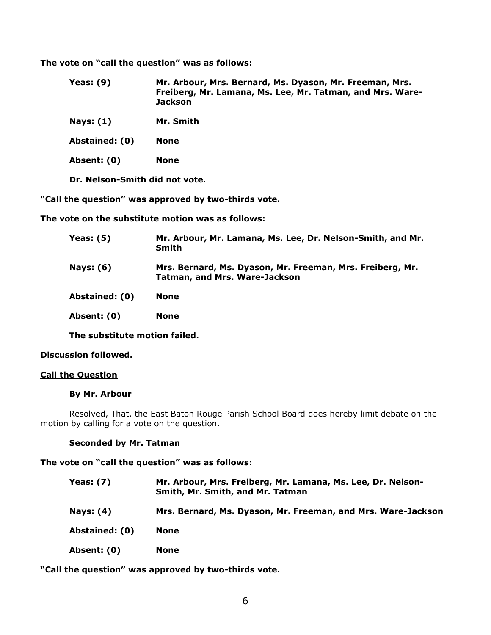**The vote on "call the question" was as follows:**

- **Yeas: (9) Mr. Arbour, Mrs. Bernard, Ms. Dyason, Mr. Freeman, Mrs. Freiberg, Mr. Lamana, Ms. Lee, Mr. Tatman, and Mrs. Ware-Jackson**
- **Nays: (1) Mr. Smith**

**Abstained: (0) None**

**Absent: (0) None**

**Dr. Nelson-Smith did not vote.**

**"Call the question" was approved by two-thirds vote.**

**The vote on the substitute motion was as follows:**

| Yeas: (5)      | Mr. Arbour, Mr. Lamana, Ms. Lee, Dr. Nelson-Smith, and Mr.<br><b>Smith</b>                        |
|----------------|---------------------------------------------------------------------------------------------------|
| Nays: (6)      | Mrs. Bernard, Ms. Dyason, Mr. Freeman, Mrs. Freiberg, Mr.<br><b>Tatman, and Mrs. Ware-Jackson</b> |
| Abstained: (0) | <b>None</b>                                                                                       |
| Absent: (0)    | <b>None</b>                                                                                       |

**The substitute motion failed.**

### **Discussion followed.**

### **Call the Question**

#### **By Mr. Arbour**

Resolved, That, the East Baton Rouge Parish School Board does hereby limit debate on the motion by calling for a vote on the question.

### **Seconded by Mr. Tatman**

#### **The vote on "call the question" was as follows:**

| <b>Yeas: (7)</b> | Mr. Arbour, Mrs. Freiberg, Mr. Lamana, Ms. Lee, Dr. Nelson-<br>Smith, Mr. Smith, and Mr. Tatman |
|------------------|-------------------------------------------------------------------------------------------------|
| <b>Nays: (4)</b> | Mrs. Bernard, Ms. Dyason, Mr. Freeman, and Mrs. Ware-Jackson                                    |
| Abstained: (0)   | <b>None</b>                                                                                     |
| Absent: (0)      | <b>None</b>                                                                                     |

**"Call the question" was approved by two-thirds vote.**